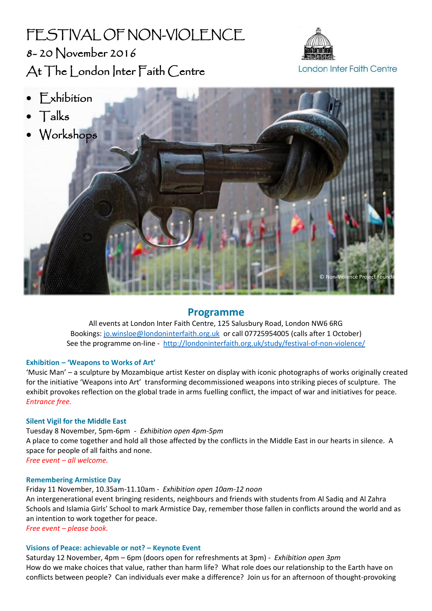# FESTIVAL OF NON-VIOLENCE 8- 20 November 2016 At The London Inter Faith Centre



Non-Violence Project Found

- Exhibition
- $\bullet$  Talks
- Workshops

## **Programme**

All events at London Inter Faith Centre, 125 Salusbury Road, London NW6 6RG Bookings[: jo.winsloe@londoninterfaith.org.uk](mailto:jo.winsloe@londoninterfaith.org.uk) or call 07725954005 (calls after 1 October) See the programme on-line - <http://londoninterfaith.org.uk/study/festival-of-non-violence/>

## **Exhibition – 'Weapons to Works of Art'**

'Music Man' – a sculpture by Mozambique artist Kester on display with iconic photographs of works originally created for the initiative 'Weapons into Art' transforming decommissioned weapons into striking pieces of sculpture. The exhibit provokes reflection on the global trade in arms fuelling conflict, the impact of war and initiatives for peace. *Entrance free.*

## **Silent Vigil for the Middle East**

Tuesday 8 November, 5pm-6pm - *Exhibition open 4pm-5pm* A place to come together and hold all those affected by the conflicts in the Middle East in our hearts in silence. A space for people of all faiths and none. *Free event – all welcome.*

#### **Remembering Armistice Day**

Friday 11 November, 10.35am-11.10am - *Exhibition open 10am-12 noon* An intergenerational event bringing residents, neighbours and friends with students from Al Sadiq and Al Zahra Schools and Islamia Girls' School to mark Armistice Day, remember those fallen in conflicts around the world and as an intention to work together for peace.

*Free event – please book.* 

## **Visions of Peace: achievable or not? – Keynote Event**

Saturday 12 November, 4pm – 6pm (doors open for refreshments at 3pm) - *Exhibition open 3pm*  How do we make choices that value, rather than harm life? What role does our relationship to the Earth have on conflicts between people? Can individuals ever make a difference? Join us for an afternoon of thought-provoking